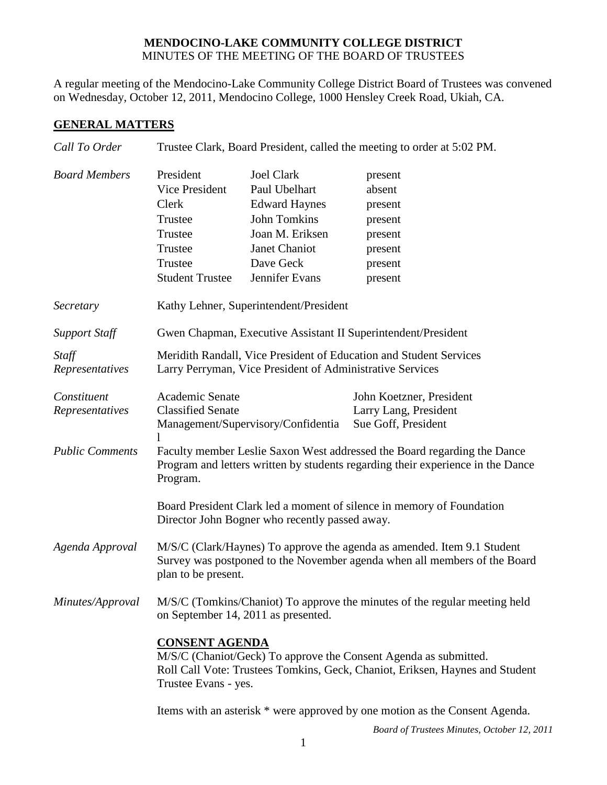## **MENDOCINO-LAKE COMMUNITY COLLEGE DISTRICT** MINUTES OF THE MEETING OF THE BOARD OF TRUSTEES

A regular meeting of the Mendocino-Lake Community College District Board of Trustees was convened on Wednesday, October 12, 2011, Mendocino College, 1000 Hensley Creek Road, Ukiah, CA.

## **GENERAL MATTERS**

| Call To Order          | Trustee Clark, Board President, called the meeting to order at 5:02 PM.                     |                      |                          |  |
|------------------------|---------------------------------------------------------------------------------------------|----------------------|--------------------------|--|
| <b>Board Members</b>   | President                                                                                   | <b>Joel Clark</b>    | present                  |  |
|                        | <b>Vice President</b>                                                                       | Paul Ubelhart        | absent                   |  |
|                        | Clerk                                                                                       | <b>Edward Haynes</b> | present                  |  |
|                        | Trustee                                                                                     | <b>John Tomkins</b>  | present                  |  |
|                        | Trustee                                                                                     | Joan M. Eriksen      | present                  |  |
|                        | Trustee                                                                                     | Janet Chaniot        | present                  |  |
|                        | Trustee                                                                                     | Dave Geck            | present                  |  |
|                        | <b>Student Trustee</b>                                                                      | Jennifer Evans       | present                  |  |
| Secretary              | Kathy Lehner, Superintendent/President                                                      |                      |                          |  |
| <b>Support Staff</b>   | Gwen Chapman, Executive Assistant II Superintendent/President                               |                      |                          |  |
| Staff                  | Meridith Randall, Vice President of Education and Student Services                          |                      |                          |  |
| Representatives        | Larry Perryman, Vice President of Administrative Services                                   |                      |                          |  |
| Constituent            | Academic Senate                                                                             |                      | John Koetzner, President |  |
| Representatives        | <b>Classified Senate</b>                                                                    |                      | Larry Lang, President    |  |
|                        | Management/Supervisory/Confidentia<br>Sue Goff, President<br>1                              |                      |                          |  |
| <b>Public Comments</b> | Faculty member Leslie Saxon West addressed the Board regarding the Dance                    |                      |                          |  |
|                        | Program and letters written by students regarding their experience in the Dance<br>Program. |                      |                          |  |
|                        | Board President Clark led a moment of silence in memory of Foundation                       |                      |                          |  |
|                        | Director John Bogner who recently passed away.                                              |                      |                          |  |
| Agenda Approval        | M/S/C (Clark/Haynes) To approve the agenda as amended. Item 9.1 Student                     |                      |                          |  |
|                        | Survey was postponed to the November agenda when all members of the Board                   |                      |                          |  |
|                        | plan to be present.                                                                         |                      |                          |  |
| Minutes/Approval       | M/S/C (Tomkins/Chaniot) To approve the minutes of the regular meeting held                  |                      |                          |  |
|                        | on September 14, 2011 as presented.                                                         |                      |                          |  |
|                        | <b>CONSENT AGENDA</b>                                                                       |                      |                          |  |
|                        | M/S/C (Chaniot/Geck) To approve the Consent Agenda as submitted.                            |                      |                          |  |
|                        | Roll Call Vote: Trustees Tomkins, Geck, Chaniot, Eriksen, Haynes and Student                |                      |                          |  |
|                        | Trustee Evans - yes.                                                                        |                      |                          |  |
|                        | Items with an asterisk * were approved by one motion as the Consent Agenda.                 |                      |                          |  |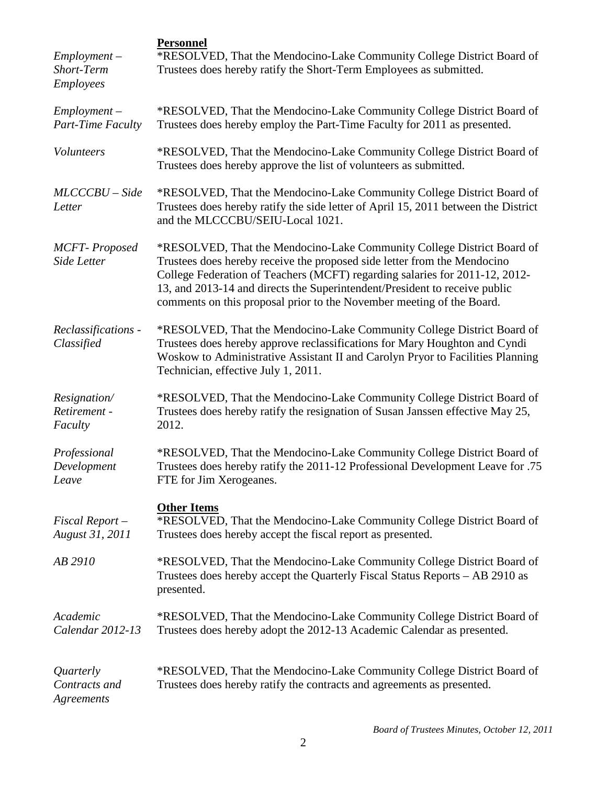| $Employment -$<br>Short-Term<br><b>Employees</b> | <b>Personnel</b><br>*RESOLVED, That the Mendocino-Lake Community College District Board of<br>Trustees does hereby ratify the Short-Term Employees as submitted.                                                                                                                                                                                                                         |
|--------------------------------------------------|------------------------------------------------------------------------------------------------------------------------------------------------------------------------------------------------------------------------------------------------------------------------------------------------------------------------------------------------------------------------------------------|
| $Employment -$<br><b>Part-Time Faculty</b>       | *RESOLVED, That the Mendocino-Lake Community College District Board of<br>Trustees does hereby employ the Part-Time Faculty for 2011 as presented.                                                                                                                                                                                                                                       |
| Volunteers                                       | *RESOLVED, That the Mendocino-Lake Community College District Board of<br>Trustees does hereby approve the list of volunteers as submitted.                                                                                                                                                                                                                                              |
| $MLCCCBU-Side$<br>Letter                         | *RESOLVED, That the Mendocino-Lake Community College District Board of<br>Trustees does hereby ratify the side letter of April 15, 2011 between the District<br>and the MLCCCBU/SEIU-Local 1021.                                                                                                                                                                                         |
| <b>MCFT-Proposed</b><br>Side Letter              | *RESOLVED, That the Mendocino-Lake Community College District Board of<br>Trustees does hereby receive the proposed side letter from the Mendocino<br>College Federation of Teachers (MCFT) regarding salaries for 2011-12, 2012-<br>13, and 2013-14 and directs the Superintendent/President to receive public<br>comments on this proposal prior to the November meeting of the Board. |
| Reclassifications -<br>Classified                | *RESOLVED, That the Mendocino-Lake Community College District Board of<br>Trustees does hereby approve reclassifications for Mary Houghton and Cyndi<br>Woskow to Administrative Assistant II and Carolyn Pryor to Facilities Planning<br>Technician, effective July 1, 2011.                                                                                                            |
| Resignation/<br>Retirement -<br>Faculty          | *RESOLVED, That the Mendocino-Lake Community College District Board of<br>Trustees does hereby ratify the resignation of Susan Janssen effective May 25,<br>2012.                                                                                                                                                                                                                        |
| Professional<br>Development<br>Leave             | *RESOLVED, That the Mendocino-Lake Community College District Board of<br>Trustees does hereby ratify the 2011-12 Professional Development Leave for .75<br>FTE for Jim Xerogeanes.                                                                                                                                                                                                      |
| Fiscal Report-<br>August 31, 2011                | <b>Other Items</b><br>*RESOLVED, That the Mendocino-Lake Community College District Board of<br>Trustees does hereby accept the fiscal report as presented.                                                                                                                                                                                                                              |
| AB 2910                                          | *RESOLVED, That the Mendocino-Lake Community College District Board of<br>Trustees does hereby accept the Quarterly Fiscal Status Reports - AB 2910 as<br>presented.                                                                                                                                                                                                                     |
| Academic<br>Calendar 2012-13                     | *RESOLVED, That the Mendocino-Lake Community College District Board of<br>Trustees does hereby adopt the 2012-13 Academic Calendar as presented.                                                                                                                                                                                                                                         |
| Quarterly<br>Contracts and<br>Agreements         | *RESOLVED, That the Mendocino-Lake Community College District Board of<br>Trustees does hereby ratify the contracts and agreements as presented.                                                                                                                                                                                                                                         |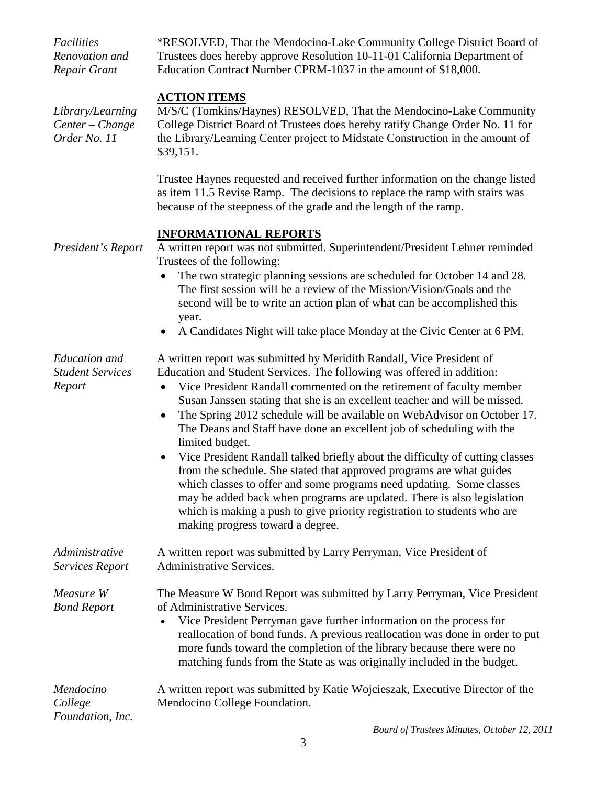| Facilities<br>Renovation and<br>Repair Grant              | *RESOLVED, That the Mendocino-Lake Community College District Board of<br>Trustees does hereby approve Resolution 10-11-01 California Department of<br>Education Contract Number CPRM-1037 in the amount of \$18,000.                                                                                                                                                                                                                                                                                                                                                                                                                                                                                                                                                                                                                                                            |
|-----------------------------------------------------------|----------------------------------------------------------------------------------------------------------------------------------------------------------------------------------------------------------------------------------------------------------------------------------------------------------------------------------------------------------------------------------------------------------------------------------------------------------------------------------------------------------------------------------------------------------------------------------------------------------------------------------------------------------------------------------------------------------------------------------------------------------------------------------------------------------------------------------------------------------------------------------|
| Library/Learning<br>Center - Change<br>Order No. 11       | <b>ACTION ITEMS</b><br>M/S/C (Tomkins/Haynes) RESOLVED, That the Mendocino-Lake Community<br>College District Board of Trustees does hereby ratify Change Order No. 11 for<br>the Library/Learning Center project to Midstate Construction in the amount of<br>\$39,151.                                                                                                                                                                                                                                                                                                                                                                                                                                                                                                                                                                                                         |
|                                                           | Trustee Haynes requested and received further information on the change listed<br>as item 11.5 Revise Ramp. The decisions to replace the ramp with stairs was<br>because of the steepness of the grade and the length of the ramp.                                                                                                                                                                                                                                                                                                                                                                                                                                                                                                                                                                                                                                               |
| President's Report                                        | <b>INFORMATIONAL REPORTS</b><br>A written report was not submitted. Superintendent/President Lehner reminded<br>Trustees of the following:                                                                                                                                                                                                                                                                                                                                                                                                                                                                                                                                                                                                                                                                                                                                       |
|                                                           | The two strategic planning sessions are scheduled for October 14 and 28.<br>The first session will be a review of the Mission/Vision/Goals and the<br>second will be to write an action plan of what can be accomplished this<br>year.                                                                                                                                                                                                                                                                                                                                                                                                                                                                                                                                                                                                                                           |
|                                                           | A Candidates Night will take place Monday at the Civic Center at 6 PM.<br>$\bullet$                                                                                                                                                                                                                                                                                                                                                                                                                                                                                                                                                                                                                                                                                                                                                                                              |
| <b>Education</b> and<br><b>Student Services</b><br>Report | A written report was submitted by Meridith Randall, Vice President of<br>Education and Student Services. The following was offered in addition:<br>Vice President Randall commented on the retirement of faculty member<br>$\bullet$<br>Susan Janssen stating that she is an excellent teacher and will be missed.<br>The Spring 2012 schedule will be available on WebAdvisor on October 17.<br>The Deans and Staff have done an excellent job of scheduling with the<br>limited budget.<br>Vice President Randall talked briefly about the difficulty of cutting classes<br>from the schedule. She stated that approved programs are what guides<br>which classes to offer and some programs need updating. Some classes<br>may be added back when programs are updated. There is also legislation<br>which is making a push to give priority registration to students who are |
|                                                           | making progress toward a degree.                                                                                                                                                                                                                                                                                                                                                                                                                                                                                                                                                                                                                                                                                                                                                                                                                                                 |
| Administrative<br><b>Services Report</b>                  | A written report was submitted by Larry Perryman, Vice President of<br><b>Administrative Services.</b>                                                                                                                                                                                                                                                                                                                                                                                                                                                                                                                                                                                                                                                                                                                                                                           |
| Measure W<br><b>Bond Report</b>                           | The Measure W Bond Report was submitted by Larry Perryman, Vice President<br>of Administrative Services.<br>Vice President Perryman gave further information on the process for<br>reallocation of bond funds. A previous reallocation was done in order to put<br>more funds toward the completion of the library because there were no<br>matching funds from the State as was originally included in the budget.                                                                                                                                                                                                                                                                                                                                                                                                                                                              |
| Mendocino<br>College<br>Foundation, Inc.                  | A written report was submitted by Katie Wojcieszak, Executive Director of the<br>Mendocino College Foundation.                                                                                                                                                                                                                                                                                                                                                                                                                                                                                                                                                                                                                                                                                                                                                                   |